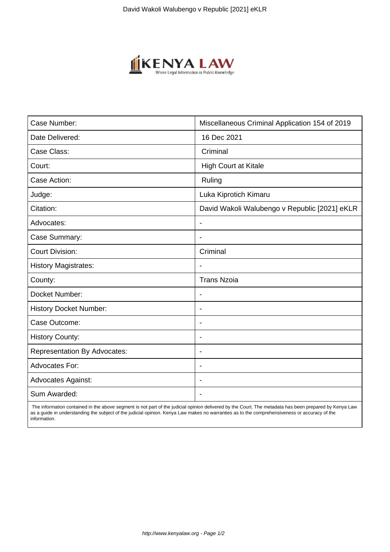

| Case Number:                        | Miscellaneous Criminal Application 154 of 2019 |
|-------------------------------------|------------------------------------------------|
| Date Delivered:                     | 16 Dec 2021                                    |
| Case Class:                         | Criminal                                       |
| Court:                              | High Court at Kitale                           |
| Case Action:                        | Ruling                                         |
| Judge:                              | Luka Kiprotich Kimaru                          |
| Citation:                           | David Wakoli Walubengo v Republic [2021] eKLR  |
| Advocates:                          | $\blacksquare$                                 |
| Case Summary:                       | $\overline{\phantom{0}}$                       |
| <b>Court Division:</b>              | Criminal                                       |
| <b>History Magistrates:</b>         |                                                |
| County:                             | <b>Trans Nzoia</b>                             |
| Docket Number:                      |                                                |
| <b>History Docket Number:</b>       | $\overline{\phantom{a}}$                       |
| Case Outcome:                       | $\overline{\phantom{a}}$                       |
| <b>History County:</b>              | $\overline{\phantom{a}}$                       |
| <b>Representation By Advocates:</b> | $\blacksquare$                                 |
| Advocates For:                      | $\blacksquare$                                 |
| <b>Advocates Against:</b>           |                                                |
| Sum Awarded:                        |                                                |

 The information contained in the above segment is not part of the judicial opinion delivered by the Court. The metadata has been prepared by Kenya Law as a guide in understanding the subject of the judicial opinion. Kenya Law makes no warranties as to the comprehensiveness or accuracy of the information.